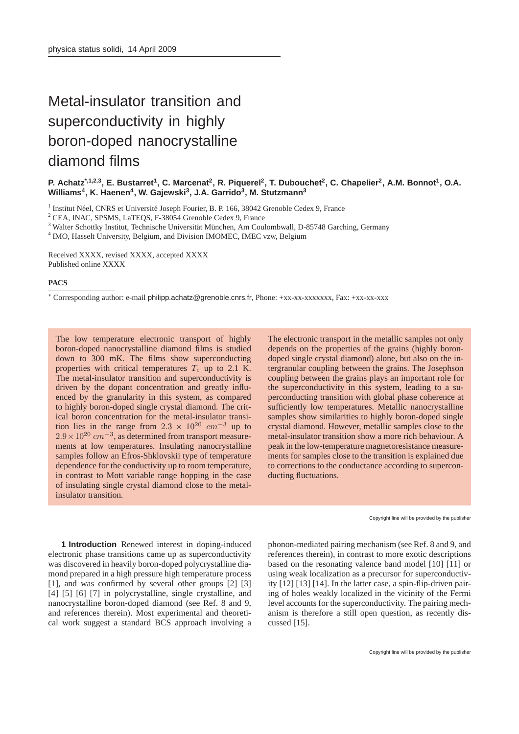## Metal-insulator transition and superconductivity in highly boron-doped nanocrystalline diamond films

**P. Achatz\*,1,2,3, E. Bustarret<sup>1</sup> , C. Marcenat<sup>2</sup> , R. Piquerel<sup>2</sup> , T. Dubouchet<sup>2</sup> , C. Chapelier<sup>2</sup> , A.M. Bonnot<sup>1</sup> , O.A. Williams<sup>4</sup> , K. Haenen<sup>4</sup> , W. Gajewski<sup>3</sup> , J.A. Garrido<sup>3</sup> , M. Stutzmann<sup>3</sup>**

<sup>1</sup> Institut Néel, CNRS et Université Joseph Fourier, B. P. 166, 38042 Grenoble Cedex 9, France

<sup>2</sup> CEA, INAC, SPSMS, LaTEQS, F-38054 Grenoble Cedex 9, France

<sup>3</sup> Walter Schottky Institut, Technische Universität München, Am Coulombwall, D-85748 Garching, Germany

<sup>4</sup> IMO, Hasselt University, Belgium, and Division IMOMEC, IMEC vzw, Belgium

Received XXXX, revised XXXX, accepted XXXX Published online XXXX

## **PACS**

<sup>∗</sup> Corresponding author: e-mail philipp.achatz@grenoble.cnrs.fr, Phone: +xx-xx-xxxxxxx, Fax: +xx-xx-xxx

The low temperature electronic transport of highly boron-doped nanocrystalline diamond films is studied down to 300 mK. The films show superconducting properties with critical temperatures  $T_c$  up to 2.1 K. The metal-insulator transition and superconductivity is driven by the dopant concentration and greatly influenced by the granularity in this system, as compared to highly boron-doped single crystal diamond. The critical boron concentration for the metal-insulator transition lies in the range from  $2.3 \times 10^{20}$  cm<sup>-3</sup> up to  $2.9 \times 10^{20}$  cm<sup>-3</sup>, as determined from transport measurements at low temperatures. Insulating nanocrystalline samples follow an Efros-Shklovskii type of temperature dependence for the conductivity up to room temperature, in contrast to Mott variable range hopping in the case of insulating single crystal diamond close to the metalinsulator transition.

The electronic transport in the metallic samples not only depends on the properties of the grains (highly borondoped single crystal diamond) alone, but also on the intergranular coupling between the grains. The Josephson coupling between the grains plays an important role for the superconductivity in this system, leading to a superconducting transition with global phase coherence at sufficiently low temperatures. Metallic nanocrystalline samples show similarities to highly boron-doped single crystal diamond. However, metallic samples close to the metal-insulator transition show a more rich behaviour. A peak in the low-temperature magnetoresistance measurements for samples close to the transition is explained due to corrections to the conductance according to superconducting fluctuations.

Copyright line will be provided by the publisher

**1 Introduction** Renewed interest in doping-induced electronic phase transitions came up as superconductivity was discovered in heavily boron-doped polycrystalline diamond prepared in a high pressure high temperature process [1], and was confirmed by several other groups [2] [3] [4] [5] [6] [7] in polycrystalline, single crystalline, and nanocrystalline boron-doped diamond (see Ref. 8 and 9, and references therein). Most experimental and theoretical work suggest a standard BCS approach involving a

phonon-mediated pairing mechanism (see Ref. 8 and 9, and references therein), in contrast to more exotic descriptions based on the resonating valence band model [10] [11] or using weak localization as a precursor for superconductivity [12] [13] [14]. In the latter case, a spin-flip-driven pairing of holes weakly localized in the vicinity of the Fermi level accounts for the superconductivity. The pairing mechanism is therefore a still open question, as recently discussed [15].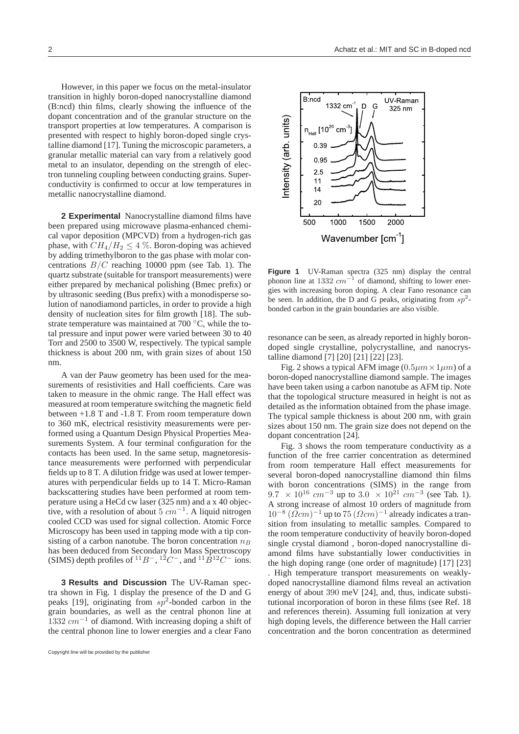However, in this paper we focus on the metal-insulator transition in highly boron-doped nanocrystalline diamond (B:ncd) thin films, clearly showing the influence of the dopant concentration and of the granular structure on the transport properties at low temperatures. A comparison is presented with respect to highly boron-doped single crystalline diamond [17]. Tuning the microscopic parameters, a granular metallic material can vary from a relatively good metal to an insulator, depending on the strength of electron tunneling coupling between conducting grains. Superconductivity is confirmed to occur at low temperatures in metallic nanocrystalline diamond.

**2 Experimental** Nanocrystalline diamond films have been prepared using microwave plasma-enhanced chemical vapor deposition (MPCVD) from a hydrogen-rich gas phase, with  $CH_4/H_2 \leq 4$  %. Boron-doping was achieved by adding trimethylboron to the gas phase with molar concentrations  $B/C$  reaching 10000 ppm (see Tab. 1). The quartz substrate (suitable for transport measurements) were either prepared by mechanical polishing (Bmec prefix) or by ultrasonic seeding (Bus prefix) with a monodisperse solution of nanodiamond particles, in order to provide a high density of nucleation sites for film growth [18]. The substrate temperature was maintained at 700 °C, while the total pressure and input power were varied between 30 to 40 Torr and 2500 to 3500 W, respectively. The typical sample thickness is about 200 nm, with grain sizes of about 150 nm.

A van der Pauw geometry has been used for the measurements of resistivities and Hall coefficients. Care was taken to measure in the ohmic range. The Hall effect was measured at room temperature switching the magnetic field between +1.8 T and -1.8 T. From room temperature down to 360 mK, electrical resistivity measurements were performed using a Quantum Design Physical Properties Measurements System. A four terminal configuration for the contacts has been used. In the same setup, magnetoresistance measurements were performed with perpendicular fields up to 8 T. A dilution fridge was used at lower temperatures with perpendicular fields up to 14 T. Micro-Raman backscattering studies have been performed at room temperature using a HeCd cw laser (325 nm) and a x 40 objective, with a resolution of about  $\bar{5}$  cm<sup>-1</sup>. A liquid nitrogen cooled CCD was used for signal collection. Atomic Force Microscopy has been used in tapping mode with a tip consisting of a carbon nanotube. The boron concentration  $n_B$ has been deduced from Secondary Ion Mass Spectroscopy (SIMS) depth profiles of <sup>11</sup>B<sup>-</sup>, <sup>12</sup>C<sup>-</sup>, and <sup>11</sup>B<sup>12</sup>C<sup>-</sup> ions.

**3 Results and Discussion** The UV-Raman spectra shown in Fig. 1 display the presence of the D and G peaks [19], originating from  $sp^2$ -bonded carbon in the grain boundaries, as well as the central phonon line at  $1332$   $cm^{-1}$  of diamond. With increasing doping a shift of the central phonon line to lower energies and a clear Fano



Figure 1 UV-Raman spectra (325 nm) display the central phonon line at 1332  $cm^{-1}$  of diamond, shifting to lower energies with increasing boron doping. A clear Fano resonance can be seen. In addition, the D and G peaks, originating from  $sp^2$ bonded carbon in the grain boundaries are also visible.

resonance can be seen, as already reported in highly borondoped single crystalline, polycrystalline, and nanocrystalline diamond [7] [20] [21] [22] [23].

Fig. 2 shows a typical AFM image  $(0.5 \mu m \times 1 \mu m)$  of a boron-doped nanocrystalline diamond sample. The images have been taken using a carbon nanotube as AFM tip. Note that the topological structure measured in height is not as detailed as the information obtained from the phase image. The typical sample thickness is about 200 nm, with grain sizes about 150 nm. The grain size does not depend on the dopant concentration [24].

Fig. 3 shows the room temperature conductivity as a function of the free carrier concentration as determined from room temperature Hall effect measurements for several boron-doped nanocrystalline diamond thin films with boron concentrations (SIMS) in the range from  $9.7 \times 10^{16}$  cm<sup>-3</sup> up to  $3.0 \times 10^{21}$  cm<sup>-3</sup> (see Tab. 1). A strong increase of almost 10 orders of magnitude from  $10^{-8}$   $(\Omega cm)^{-1}$  up to 75  $(\Omega cm)^{-1}$  already indicates a transition from insulating to metallic samples. Compared to the room temperature conductivity of heavily boron-doped single crystal diamond , boron-doped nanocrystalline diamond films have substantially lower conductivities in the high doping range (one order of magnitude) [17] [23] . High temperature transport measurements on weaklydoped nanocrystalline diamond films reveal an activation energy of about 390 meV [24], and, thus, indicate substitutional incorporation of boron in these films (see Ref. 18 and references therein). Assuming full ionization at very high doping levels, the difference between the Hall carrier concentration and the boron concentration as determined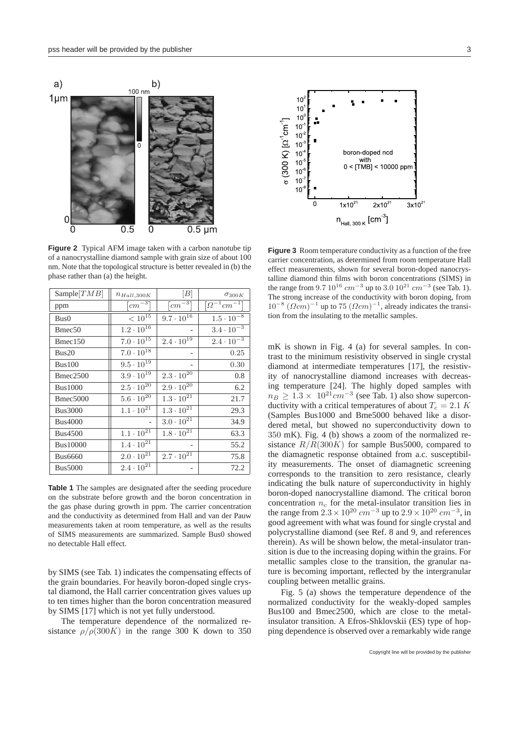

**Figure 2** Typical AFM image taken with a carbon nanotube tip of a nanocrystalline diamond sample with grain size of about 100 nm. Note that the topological structure is better revealed in (b) the phase rather than (a) the height.

| Sample $[TMB]$       | $n_{Hall,300K}$                | B                              | $\sigma_{300K}$                         |
|----------------------|--------------------------------|--------------------------------|-----------------------------------------|
| ppm                  | $\lceil cm^{-3} \rceil$        | $\lfloor cm^{-3} \rceil$       | $\lceil \Omega^{-1}$ cm <sup>-1</sup> ] |
| Bus()                | $<10^{15}\,$                   | $9.7 \cdot 10^{16}$            | $1.5 \cdot 10^{-8}$                     |
| Bmec <sub>50</sub>   | $1.2 \cdot 10^{16}$            |                                | $3.4 \cdot 10^{-3}$                     |
| Bmec150              | $7.0 \cdot 10^{15}$            | $2.4 \cdot 10^{19}$            | $2.4 \cdot 10^{-3}$                     |
| Bus20                | $7.0 \cdot 10^{18}$            |                                | 0.25                                    |
| Bus100               | $9.5 \cdot 10^{19}$            | $\qquad \qquad -$              | 0.30                                    |
| Bmec2500             | $3.9 \cdot 10^{19}$            | $2.3 \cdot 10^{20}$            | 0.8                                     |
| <b>Bus1000</b>       | $2.5 \cdot 10^{20}$            | $2.9 \cdot 10^{20}$            | 6.2                                     |
| Bmec <sub>5000</sub> | $5.6 \cdot 10^{20}$            | $1.3 \cdot 10^{21}$            | 21.7                                    |
| <b>Bus3000</b>       | $1.1 \cdot 10^{21}$            | $1.3 \cdot 10^{21}$            | 29.3                                    |
| <b>Bus4000</b>       |                                | $3.0 \cdot 10^{21}$            | 34.9                                    |
| <b>Bus4500</b>       | $1.1 \cdot 10^{2\overline{1}}$ | $1.8 \cdot 10^{2\overline{1}}$ | 63.3                                    |
| <b>Bus10000</b>      | $1.4 \cdot 10^{21}$            |                                | 55.2                                    |
| <b>Bus6660</b>       | $2.0 \cdot 10^{21}$            | $2.7 \cdot 10^{21}$            | 75.8                                    |
| <b>Bus5000</b>       | $2.4 \cdot 10^{21}$            | $\qquad \qquad -$              | 72.2                                    |

**Table 1** The samples are designated after the seeding procedure on the substrate before growth and the boron concentration in the gas phase during growth in ppm. The carrier concentration and the conductivity as determined from Hall and van der Pauw measurements taken at room temperature, as well as the results of SIMS measurements are summarized. Sample Bus0 showed no detectable Hall effect.

by SIMS (see Tab. 1) indicates the compensating effects of the grain boundaries. For heavily boron-doped single crystal diamond, the Hall carrier concentration gives values up to ten times higher than the boron concentration measured by SIMS [17] which is not yet fully understood.

The temperature dependence of the normalized resistance  $\rho/\rho(300K)$  in the range 300 K down to 350



 $\left[\text{cm}^{-3}\right]$   $\left[\text{cm}^{-3}\right]$   $\left[\Omega^{-1}\text{cm}^{-1}\right]$   $10^{-8}$   $(\Omega \text{cm})^{-1}$  up to 75  $(\Omega \text{cm})^{-1}$ , already indicates the transi-**Figure 3** Room temperature conductivity as a function of the free carrier concentration, as determined from room temperature Hall effect measurements, shown for several boron-doped nanocrystalline diamond thin films with boron concentrations (SIMS) in the range from  $9.7 10^{16} cm^{-3}$  up to  $3.0 10^{21} cm^{-3}$  (see Tab. 1). The strong increase of the conductivity with boron doping, from tion from the insulating to the metallic samples.

mK is shown in Fig. 4 (a) for several samples. In contrast to the minimum resistivity observed in single crystal diamond at intermediate temperatures [17], the resistivity of nanocrystalline diamond increases with decreasing temperature [24]. The highly doped samples with  $n_B \geq 1.3 \times 10^{21} cm^{-3}$  (see Tab. 1) also show superconductivity with a critical temperatures of about  $T_c = 2.1 K$ (Samples Bus1000 and Bme5000 behaved like a disordered metal, but showed no superconductivity down to 350 mK). Fig. 4 (b) shows a zoom of the normalized resistance  $R/R(300K)$  for sample Bus5000, compared to the diamagnetic response obtained from a.c. susceptibility measurements. The onset of diamagnetic screening corresponds to the transition to zero resistance, clearly indicating the bulk nature of superconductivity in highly boron-doped nanocrystalline diamond. The critical boron concentration  $n_c$  for the metal-insulator transition lies in the range from  $2.3 \times 10^{20} \text{ cm}^{-3}$  up to  $2.9 \times 10^{20} \text{ cm}^{-3}$ , in good agreement with what was found for single crystal and polycrystalline diamond (see Ref. 8 and 9, and references therein). As will be shown below, the metal-insulator transition is due to the increasing doping within the grains. For metallic samples close to the transition, the granular nature is becoming important, reflected by the intergranular coupling between metallic grains.

Fig. 5 (a) shows the temperature dependence of the normalized conductivity for the weakly-doped samples Bus100 and Bmec2500, which are close to the metalinsulator transition. A Efros-Shklovskii (ES) type of hopping dependence is observed over a remarkably wide range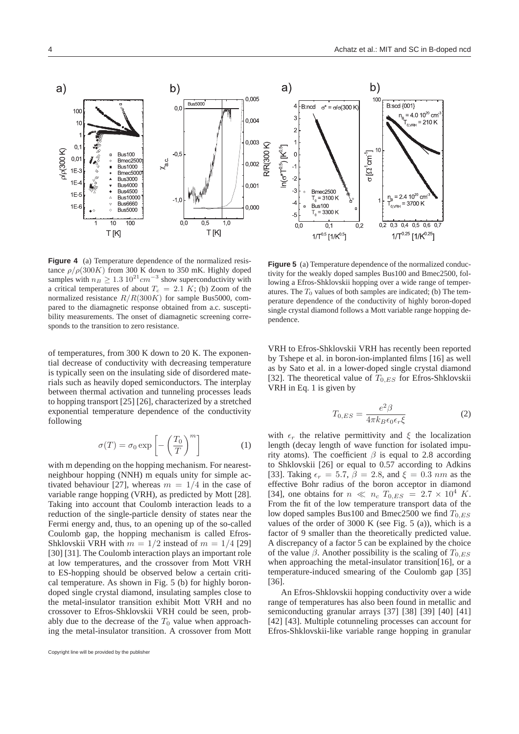

**Figure 4** (a) Temperature dependence of the normalized resistance  $\rho/\rho(300K)$  from 300 K down to 350 mK. Highly doped samples with  $n_B \ge 1.3 \cdot 10^{21}$  cm<sup>-3</sup> show superconductivity with a critical temperatures of about  $T_c = 2.1 K$ ; (b) Zoom of the normalized resistance  $R/R(300K)$  for sample Bus5000, compared to the diamagnetic response obtained from a.c. susceptibility measurements. The onset of diamagnetic screening corresponds to the transition to zero resistance.

of temperatures, from 300 K down to 20 K. The exponential decrease of conductivity with decreasing temperature is typically seen on the insulating side of disordered materials such as heavily doped semiconductors. The interplay between thermal activation and tunneling processes leads to hopping transport [25] [26], characterized by a stretched exponential temperature dependence of the conductivity following

$$
\sigma(T) = \sigma_0 \exp\left[-\left(\frac{T_0}{T}\right)^m\right]
$$
 (1)

with m depending on the hopping mechanism. For nearestneighbour hopping (NNH) m equals unity for simple activated behaviour [27], whereas  $m = 1/4$  in the case of variable range hopping (VRH), as predicted by Mott [28]. Taking into account that Coulomb interaction leads to a reduction of the single-particle density of states near the Fermi energy and, thus, to an opening up of the so-called Coulomb gap, the hopping mechanism is called Efros-Shklovskii VRH with  $m = 1/2$  instead of  $m = 1/4$  [29] [30] [31]. The Coulomb interaction plays an important role at low temperatures, and the crossover from Mott VRH to ES-hopping should be observed below a certain critical temperature. As shown in Fig. 5 (b) for highly borondoped single crystal diamond, insulating samples close to the metal-insulator transition exhibit Mott VRH and no crossover to Efros-Shklovskii VRH could be seen, probably due to the decrease of the  $T_0$  value when approaching the metal-insulator transition. A crossover from Mott

**Figure 5** (a) Temperature dependence of the normalized conductivity for the weakly doped samples Bus100 and Bmec2500, following a Efros-Shklovskii hopping over a wide range of temperatures. The  $T_0$  values of both samples are indicated; (b) The temperature dependence of the conductivity of highly boron-doped single crystal diamond follows a Mott variable range hopping dependence.

VRH to Efros-Shklovskii VRH has recently been reported by Tshepe et al. in boron-ion-implanted films [16] as well as by Sato et al. in a lower-doped single crystal diamond [32]. The theoretical value of  $T_{0,ES}$  for Efros-Shklovskii VRH in Eq. 1 is given by

$$
T_{0,ES} = \frac{e^2 \beta}{4\pi k_B \epsilon_0 \epsilon_r \xi}
$$
 (2)

with  $\epsilon_r$  the relative permittivity and  $\xi$  the localization length (decay length of wave function for isolated impurity atoms). The coefficient  $\beta$  is equal to 2.8 according to Shklovskii [26] or equal to 0.57 according to Adkins [33]. Taking  $\epsilon_r = 5.7$ ,  $\beta = 2.8$ , and  $\xi = 0.3$  nm as the effective Bohr radius of the boron acceptor in diamond [34], one obtains for  $n \ll n_c$   $T_{0,ES} = 2.7 \times 10^4$  K. From the fit of the low temperature transport data of the low doped samples Bus100 and Bmec2500 we find  $T_{0,ES}$ values of the order of  $3000 \text{ K}$  (see Fig. 5 (a)), which is a factor of 9 smaller than the theoretically predicted value. A discrepancy of a factor 5 can be explained by the choice of the value  $\beta$ . Another possibility is the scaling of  $T_{0,ES}$ when approaching the metal-insulator transition[16], or a temperature-induced smearing of the Coulomb gap [35] [36].

An Efros-Shklovskii hopping conductivity over a wide range of temperatures has also been found in metallic and semiconducting granular arrays [37] [38] [39] [40] [41] [42] [43]. Multiple cotunneling processes can account for Efros-Shklovskii-like variable range hopping in granular

Copyright line will be provided by the publisher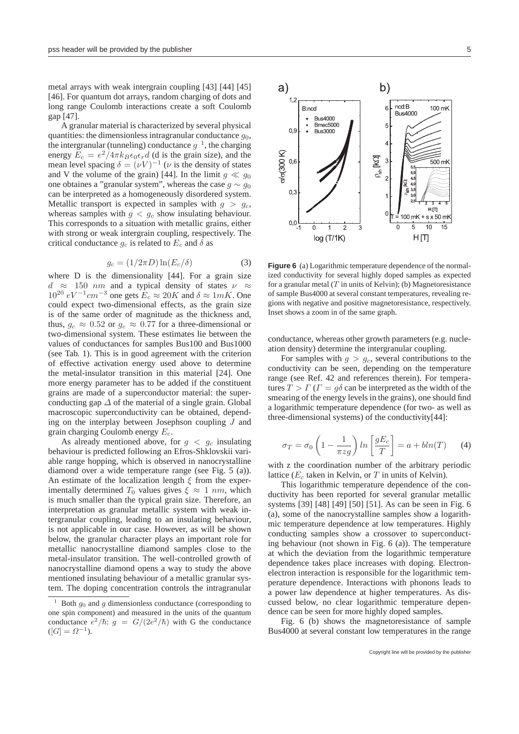metal arrays with weak intergrain coupling [43] [44] [45] [46]. For quantum dot arrays, random charging of dots and long range Coulomb interactions create a soft Coulomb gap [47].

A granular material is characterized by several physical quantities: the dimensionless intragranular conductance  $q_0$ , the intergranular (tunneling) conductance  $g^{-1}$ , the charging energy  $\widetilde{E}_c = e^2/4\pi k_B \epsilon_0 \epsilon_r d$  (d is the grain size), and the mean level spacing  $\delta = (\nu V)^{-1}$  ( $\nu$  is the density of states and V the volume of the grain) [44]. In the limit  $g \ll g_0$ one obtaines a "granular system", whereas the case  $g \sim g_0$ can be interpreted as a homogeneously disordered system. Metallic transport is expected in samples with  $q > q_c$ , whereas samples with  $g < g_c$  show insulating behaviour. This corresponds to a situation with metallic grains, either with strong or weak intergrain coupling, respectively. The critical conductance  $g_c$  is related to  $E_c$  and  $\delta$  as

$$
g_c = (1/2\pi D)\ln(E_c/\delta)
$$
 (3)

where D is the dimensionality [44]. For a grain size  $d \approx 150$  nm and a typical density of states  $\nu$  $10^{20} eV^{-1}$ cm<sup>-3</sup> one gets  $E_c \approx 20K$  and  $\delta \approx 1mK$ . One could expect two-dimensional effects, as the grain size is of the same order of magnitude as the thickness and, thus,  $g_c \approx 0.52$  or  $g_c \approx 0.77$  for a three-dimensional or two-dimensional system. These estimates lie between the values of conductances for samples Bus100 and Bus1000 (see Tab. 1). This is in good agreement with the criterion of effective activation energy used above to determine the metal-insulator transition in this material [24]. One more energy parameter has to be added if the constituent grains are made of a superconductor material: the superconducting gap  $\Delta$  of the material of a single grain. Global macroscopic superconductivity can be obtained, depending on the interplay between Josephson coupling J and grain charging Coulomb energy  $E_c$ .

As already mentioned above, for  $g < g_c$  insulating behaviour is predicted following an Efros-Shklovskii variable range hopping, which is observed in nanocrystalline diamond over a wide temperature range (see Fig. 5 (a)). An estimate of the localization length  $\xi$  from the experimentally determined  $T_0$  values gives  $\xi \approx 1$  nm, which is much smaller than the typical grain size. Therefore, an interpretation as granular metallic system with weak intergranular coupling, leading to an insulating behaviour, is not applicable in our case. However, as will be shown below, the granular character plays an important role for metallic nanocrystalline diamond samples close to the metal-insulator transition. The well-controlled growth of nanocrystalline diamond opens a way to study the above mentioned insulating behaviour of a metallic granular system. The doping concentration controls the intragranular



**Figure 6** (a) Logarithmic temperature dependence of the normalized conductivity for several highly doped samples as expected for a granular metal  $(T \text{ in units of Kelvin})$ ; (b) Magnetoresistance of sample Bus4000 at several constant temperatures, revealing regions with negative and positive magnetoresistance, respectively. Inset shows a zoom in of the same graph.

conductance, whereas other growth parameters (e.g. nucleation density) determine the intergranular coupling.

For samples with  $g > g_c$ , several contributions to the conductivity can be seen, depending on the temperature range (see Ref. 42 and references therein). For temperatures  $T > \Gamma(T = q\delta)$  can be interpreted as the width of the smearing of the energy levels in the grains), one should find a logarithmic temperature dependence (for two- as well as three-dimensional systems) of the conductivity[44]:

$$
\sigma_T = \sigma_0 \left( 1 - \frac{1}{\pi z g} \right) \ln \left[ \frac{gE_c}{T} \right] = a + bh(T) \tag{4}
$$

with z the coordination number of the arbitrary periodic lattice  $(E_c)$  taken in Kelvin, or T in units of Kelvin).

This logarithmic temperature dependence of the conductivity has been reported for several granular metallic systems [39] [48] [49] [50] [51]. As can be seen in Fig. 6 (a), some of the nanocrystalline samples show a logarithmic temperature dependence at low temperatures. Highly conducting samples show a crossover to superconducting behaviour (not shown in Fig. 6 (a)). The temperature at which the deviation from the logarithmic temperature dependence takes place increases with doping. Electronelectron interaction is responsible for the logarithmic temperature dependence. Interactions with phonons leads to a power law dependence at higher temperatures. As discussed below, no clear logarithmic temperature dependence can be seen for more highly doped samples.

Fig. 6 (b) shows the magnetoresistance of sample Bus4000 at several constant low temperatures in the range

Both  $g_0$  and  $g$  dimensionless conductance (corresponding to one spin component) and measured in the units of the quantum conductance  $e^2/\hbar$ :  $g = G/(2e^2/\hbar)$  with G the conductance  $([G] = \Omega^{-1}).$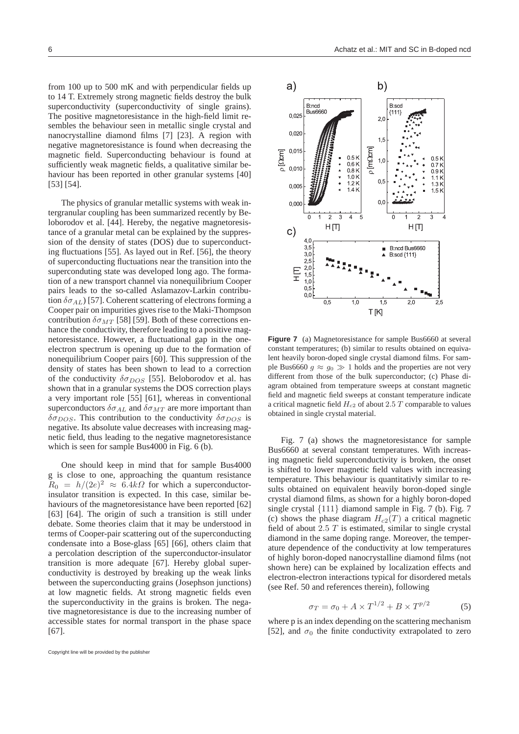from 100 up to 500 mK and with perpendicular fields up to 14 T. Extremely strong magnetic fields destroy the bulk superconductivity (superconductivity of single grains). The positive magnetoresistance in the high-field limit resembles the behaviour seen in metallic single crystal and nanocrystalline diamond films [7] [23]. A region with negative magnetoresistance is found when decreasing the magnetic field. Superconducting behaviour is found at sufficiently weak magnetic fields, a qualitative similar behaviour has been reported in other granular systems [40] [53] [54].

The physics of granular metallic systems with weak intergranular coupling has been summarized recently by Beloborodov et al. [44]. Hereby, the negative magnetoresistance of a granular metal can be explained by the suppression of the density of states (DOS) due to superconducting fluctuations [55]. As layed out in Ref. [56], the theory of superconducting fluctuations near the transition into the superconduting state was developed long ago. The formation of a new transport channel via nonequilibrium Cooper pairs leads to the so-called Aslamazov-Larkin contribution  $\delta \sigma_{AL}$ ) [57]. Coherent scattering of electrons forming a Cooper pair on impurities gives rise to the Maki-Thompson contribution  $\delta \sigma_{MT}$  [58] [59]. Both of these corrections enhance the conductivity, therefore leading to a positive magnetoresistance. However, a fluctuational gap in the oneelectron spectrum is opening up due to the formation of nonequilibrium Cooper pairs [60]. This suppression of the density of states has been shown to lead to a correction of the conductivity  $\delta \sigma_{DOS}$  [55]. Beloborodov et al. has shown that in a granular systems the DOS correction plays a very important role [55] [61], whereas in conventional superconductors  $\delta \sigma_{AL}$  and  $\delta \sigma_{MT}$  are more important than  $\delta \sigma_{DOS}$ . This contribution to the conductivity  $\delta \sigma_{DOS}$  is negative. Its absolute value decreases with increasing magnetic field, thus leading to the negative magnetoresistance which is seen for sample Bus4000 in Fig. 6 (b).

One should keep in mind that for sample Bus4000 g is close to one, approaching the quantum resistance  $R_0 = h/(2e)^2 \approx 6.4k\Omega$  for which a superconductorinsulator transition is expected. In this case, similar behaviours of the magnetoresistance have been reported [62] [63] [64]. The origin of such a transition is still under debate. Some theories claim that it may be understood in terms of Cooper-pair scattering out of the superconducting condensate into a Bose-glass [65] [66], others claim that a percolation description of the superconductor-insulator transition is more adequate [67]. Hereby global superconductivity is destroyed by breaking up the weak links between the superconducting grains (Josephson junctions) at low magnetic fields. At strong magnetic fields even the superconductivity in the grains is broken. The negative magnetoresistance is due to the increasing number of accessible states for normal transport in the phase space [67].



**Figure 7** (a) Magnetoresistance for sample Bus6660 at several constant temperatures; (b) similar to results obtained on equivalent heavily boron-doped single crystal diamond films. For sample Bus6660  $q \approx q_0 \gg 1$  holds and the properties are not very different from those of the bulk superconductor; (c) Phase diagram obtained from temperature sweeps at constant magnetic field and magnetic field sweeps at constant temperature indicate a critical magnetic field  $H_{c2}$  of about 2.5 T comparable to values obtained in single crystal material.

Fig. 7 (a) shows the magnetoresistance for sample Bus6660 at several constant temperatures. With increasing magnetic field superconductivity is broken, the onset is shifted to lower magnetic field values with increasing temperature. This behaviour is quantitativly similar to results obtained on equivalent heavily boron-doped single crystal diamond films, as shown for a highly boron-doped single crystal {111} diamond sample in Fig. 7 (b). Fig. 7 (c) shows the phase diagram  $H_{c2}(T)$  a critical magnetic field of about  $2.5$  T is estimated, similar to single crystal diamond in the same doping range. Moreover, the temperature dependence of the conductivity at low temperatures of highly boron-doped nanocrystalline diamond films (not shown here) can be explained by localization effects and electron-electron interactions typical for disordered metals (see Ref. 50 and references therein), following

$$
\sigma_T = \sigma_0 + A \times T^{1/2} + B \times T^{p/2} \tag{5}
$$

where p is an index depending on the scattering mechanism [52], and  $\sigma_0$  the finite conductivity extrapolated to zero

Copyright line will be provided by the publisher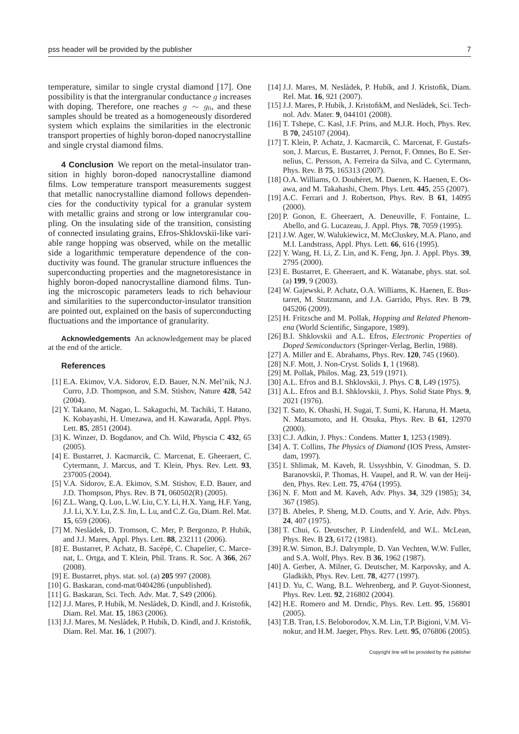temperature, similar to single crystal diamond [17]. One possibility is that the intergranular conductance  $g$  increases with doping. Therefore, one reaches  $q \sim q_0$ , and these samples should be treated as a homogeneously disordered system which explains the similarities in the electronic transport properties of highly boron-doped nanocrystalline and single crystal diamond films.

**4 Conclusion** We report on the metal-insulator transition in highly boron-doped nanocrystalline diamond films. Low temperature transport measurements suggest that metallic nanocrystalline diamond follows dependencies for the conductivity typical for a granular system with metallic grains and strong or low intergranular coupling. On the insulating side of the transition, consisting of connected insulating grains, Efros-Shklovskii-like variable range hopping was observed, while on the metallic side a logarithmic temperature dependence of the conductivity was found. The granular structure influences the superconducting properties and the magnetoresistance in highly boron-doped nanocrystalline diamond films. Tuning the microscopic parameters leads to rich behaviour and similarities to the superconductor-insulator transition are pointed out, explained on the basis of superconducting fluctuations and the importance of granularity.

**Acknowledgements** An acknowledgement may be placed at the end of the article.

## **References**

- [1] E.A. Ekimov, V.A. Sidorov, E.D. Bauer, N.N. Mel'nik, N.J. Curro, J.D. Thompson, and S.M. Stishov, Nature **428**, 542 (2004).
- [2] Y. Takano, M. Nagao, L. Sakaguchi, M. Tachiki, T. Hatano, K. Kobayashi, H. Umezawa, and H. Kawarada, Appl. Phys. Lett. **85**, 2851 (2004).
- [3] K. Winzer, D. Bogdanov, and Ch. Wild, Physcia C **432**, 65 (2005).
- [4] E. Bustarret, J. Kacmarcik, C. Marcenat, E. Gheeraert, C. Cytermann, J. Marcus, and T. Klein, Phys. Rev. Lett. **93**, 237005 (2004).
- [5] V.A. Sidorov, E.A. Ekimov, S.M. Stishov, E.D. Bauer, and J.D. Thompson, Phys. Rev. B **71**, 060502(R) (2005).
- [6] Z.L. Wang, Q. Luo, L.W. Liu, C.Y. Li, H.X. Yang, H.F. Yang, J.J. Li, X.Y. Lu, Z.S. Jin, L. Lu, and C.Z. Gu, Diam. Rel. Mat. **15**, 659 (2006).
- [7] M. Nesládek, D. Tromson, C. Mer, P. Bergonzo, P. Hubik, and J.J. Mares, Appl. Phys. Lett. **88**, 232111 (2006).
- [8] E. Bustarret, P. Achatz, B. Sacépé, C. Chapelier, C. Marcenat, L. Ortga, and T. Klein, Phil. Trans. R. Soc. A **366**, 267 (2008).
- [9] E. Bustarret, phys. stat. sol. (a) **205** 997 (2008).
- [10] G. Baskaran, cond-mat/0404286 (unpublished).
- [11] G. Baskaran, Sci. Tech. Adv. Mat. **7**, S49 (2006).
- [12] J.J. Mares, P. Hubík, M. Nesládek, D. Kindl, and J. Kristofik, Diam. Rel. Mat. **15**, 1863 (2006).
- [13] J.J. Mares, M. Nesládek, P. Hubík, D. Kindl, and J. Kristofik, Diam. Rel. Mat. **16**, 1 (2007).
- [14] J.J. Mares, M. Nesládek, P. Hubík, and J. Kristofik, Diam. Rel. Mat. **16**, 921 (2007).
- [15] J.J. Mares, P. Hubík, J. KristofikM, and Nesládek, Sci. Technol. Adv. Mater. **9**, 044101 (2008).
- [16] T. Tshepe, C. Kasl, J.F. Prins, and M.J.R. Hoch, Phys. Rev. B **70**, 245107 (2004).
- [17] T. Klein, P. Achatz, J. Kacmarcik, C. Marcenat, F. Gustafsson, J. Marcus, E. Bustarret, J. Pernot, F. Omnes, Bo E. Sernelius, C. Persson, A. Ferreira da Silva, and C. Cytermann, Phys. Rev. B **75**, 165313 (2007).
- [18] O.A. Williams, O. Douhéret, M. Daenen, K. Haenen, E. Osawa, and M. Takahashi, Chem. Phys. Lett. **445**, 255 (2007).
- [19] A.C. Ferrari and J. Robertson, Phys. Rev. B **61**, 14095 (2000).
- [20] P. Gonon, E. Gheeraert, A. Deneuville, F. Fontaine, L. Abello, and G. Lucazeau, J. Appl. Phys. **78**, 7059 (1995).
- [21] J.W. Ager, W. Walukiewicz, M. McCluskey, M.A. Plano, and M.I. Landstrass, Appl. Phys. Lett. **66**, 616 (1995).
- [22] Y. Wang, H. Li, Z. Lin, and K. Feng, Jpn. J. Appl. Phys. **39**, 2795 (2000).
- [23] E. Bustarret, E. Gheeraert, and K. Watanabe, phys. stat. sol. (a) **199**, 9 (2003).
- [24] W. Gajewski, P. Achatz, O.A. Williams, K. Haenen, E. Bustarret, M. Stutzmann, and J.A. Garrido, Phys. Rev. B **79**, 045206 (2009).
- [25] H. Fritzsche and M. Pollak, *Hopping and Related Phenomena* (World Scientific, Singapore, 1989).
- [26] B.I. Shklovskii and A.L. Efros, *Electronic Properties of Doped Semiconductors* (Springer-Verlag, Berlin, 1988).
- [27] A. Miller and E. Abrahams, Phys. Rev. **120**, 745 (1960).
- [28] N.F. Mott, J. Non-Cryst. Solids **1**, 1 (1968).
- [29] M. Pollak, Philos. Mag. **23**, 519 (1971).
- [30] A.L. Efros and B.I. Shklovskii, J. Phys. C **8**, L49 (1975).
- [31] A.L. Efros and B.I. Shklovskii, J. Phys. Solid State Phys. **9**, 2021 (1976).
- [32] T. Sato, K. Ohashi, H. Sugai, T. Sumi, K. Haruna, H. Maeta, N. Matsumoto, and H. Otsuka, Phys. Rev. B **61**, 12970  $(2000)$ .
- [33] C.J. Adkin, J. Phys.: Condens. Matter **1**, 1253 (1989).
- [34] A. T. Collins, *The Physics of Diamond* (IOS Press, Amsterdam, 1997).
- [35] I. Shlimak, M. Kaveh, R. Ussyshbin, V. Ginodman, S. D. Baranovskii, P. Thomas, H. Vaupel, and R. W. van der Heijden, Phys. Rev. Lett. **75**, 4764 (1995).
- [36] N. F. Mott and M. Kaveh, Adv. Phys. **34**, 329 (1985); 34, 367 (1985).
- [37] B. Abeles, P. Sheng, M.D. Coutts, and Y. Arie, Adv. Phys. **24**, 407 (1975).
- [38] T. Chui, G. Deutscher, P. Lindenfeld, and W.L. McLean, Phys. Rev. B **23**, 6172 (1981).
- [39] R.W. Simon, B.J. Dalrymple, D. Van Vechten, W.W. Fuller, and S.A. Wolf, Phys. Rev. B **36**, 1962 (1987).
- [40] A. Gerber, A. Milner, G. Deutscher, M. Karpovsky, and A. Gladkikh, Phys. Rev. Lett. **78**, 4277 (1997).
- [41] D. Yu, C. Wang, B.L. Wehrenberg, and P. Guyot-Sionnest, Phys. Rev. Lett. **92**, 216802 (2004).
- [42] H.E. Romero and M. Drndic, Phys. Rev. Lett. **95**, 156801 (2005).
- [43] T.B. Tran, I.S. Beloborodov, X.M. Lin, T.P. Bigioni, V.M. Vinokur, and H.M. Jaeger, Phys. Rev. Lett. **95**, 076806 (2005).